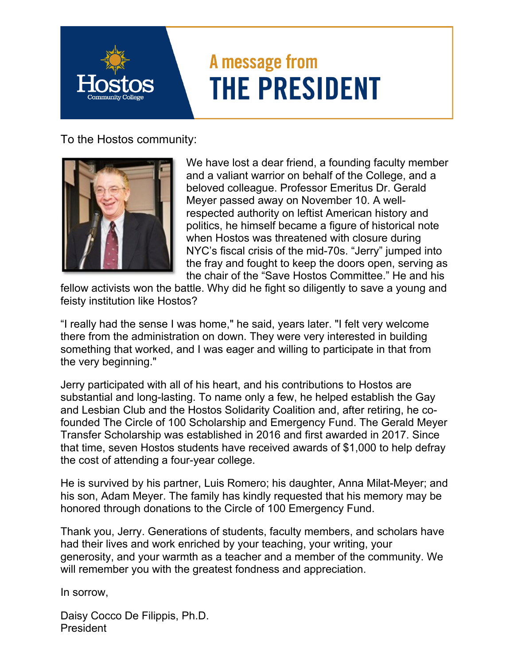## A message from **THE PRESIDENT**

To the Hostos community:



We have lost a dear friend, a founding faculty member and a valiant warrior on behalf of the College, and a beloved colleague. Professor Emeritus Dr. Gerald Meyer passed away on November 10. A wellrespected authority on leftist American history and politics, he himself became a figure of historical note when Hostos was threatened with closure during NYC's fiscal crisis of the mid-70s. "Jerry" jumped into the fray and fought to keep the doors open, serving as the chair of the "Save Hostos Committee." He and his

fellow activists won the battle. Why did he fight so diligently to save a young and feisty institution like Hostos?

"I really had the sense I was home," he said, years later. "I felt very welcome there from the administration on down. They were very interested in building something that worked, and I was eager and willing to participate in that from the very beginning."

Jerry participated with all of his heart, and his contributions to Hostos are substantial and long-lasting. To name only a few, he helped establish the Gay and Lesbian Club and the Hostos Solidarity Coalition and, after retiring, he cofounded The Circle of 100 Scholarship and Emergency Fund. The Gerald Meyer Transfer Scholarship was established in 2016 and first awarded in 2017. Since that time, seven Hostos students have received awards of \$1,000 to help defray the cost of attending a four-year college.

He is survived by his partner, Luis Romero; his daughter, Anna Milat-Meyer; and his son, Adam Meyer. The family has kindly requested that his memory may be honored through donations to the Circle of 100 Emergency Fund.

Thank you, Jerry. Generations of students, faculty members, and scholars have had their lives and work enriched by your teaching, your writing, your generosity, and your warmth as a teacher and a member of the community. We will remember you with the greatest fondness and appreciation.

In sorrow,

Daisy Cocco De Filippis, Ph.D. President